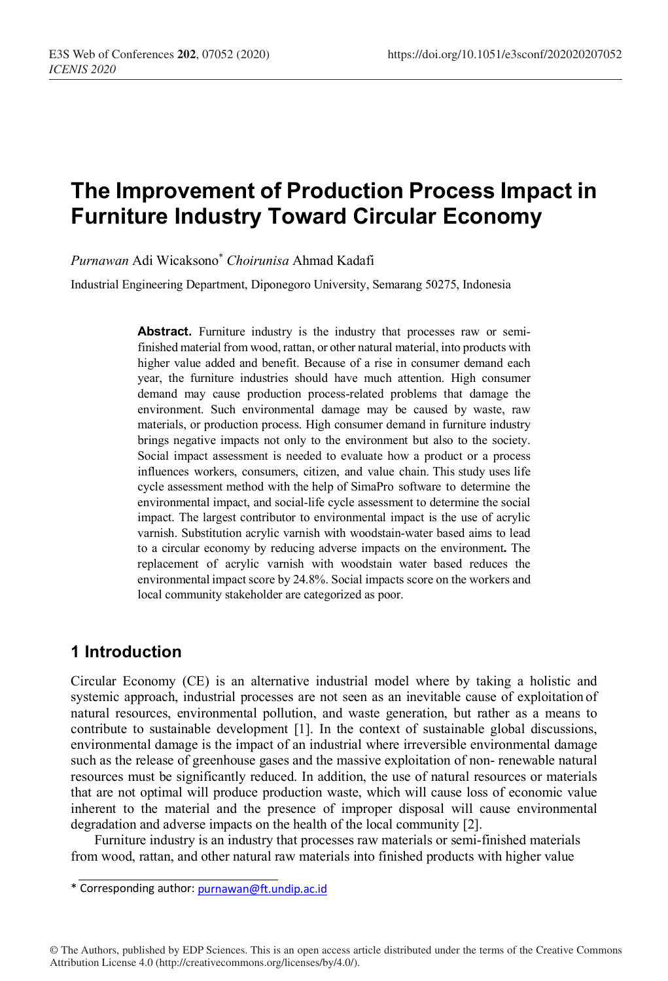# **The Improvement of Production Process Impact in Furniture Industry Toward Circular Economy**

*Purnawan* Adi Wicaksono\* *Choirunisa* Ahmad Kadafi

Industrial Engineering Department, Diponegoro University, Semarang 50275, Indonesia

Abstract. Furniture industry is the industry that processes raw or semifinished material from wood, rattan, or other natural material, into products with higher value added and benefit. Because of a rise in consumer demand each year, the furniture industries should have much attention. High consumer demand may cause production process-related problems that damage the environment. Such environmental damage may be caused by waste, raw materials, or production process. High consumer demand in furniture industry brings negative impacts not only to the environment but also to the society. Social impact assessment is needed to evaluate how a product or a process influences workers, consumers, citizen, and value chain. This study uses life cycle assessment method with the help of SimaPro software to determine the environmental impact, and social-life cycle assessment to determine the social impact. The largest contributor to environmental impact is the use of acrylic varnish. Substitution acrylic varnish with woodstain-water based aims to lead to a circular economy by reducing adverse impacts on the environment**.** The replacement of acrylic varnish with woodstain water based reduces the environmental impact score by 24.8%. Social impacts score on the workers and local community stakeholder are categorized as poor.

# **1 Introduction**

Circular Economy (CE) is an alternative industrial model where by taking a holistic and systemic approach, industrial processes are not seen as an inevitable cause of exploitation of natural resources, environmental pollution, and waste generation, but rather as a means to contribute to sustainable development [1]. In the context of sustainable global discussions, environmental damage is the impact of an industrial where irreversible environmental damage such as the release of greenhouse gases and the massive exploitation of non- renewable natural resources must be significantly reduced. In addition, the use of natural resources or materials that are not optimal will produce production waste, which will cause loss of economic value inherent to the material and the presence of improper disposal will cause environmental degradation and adverse impacts on the health of the local community [2].

Furniture industry is an industry that processes raw materials or semi-finished materials from wood, rattan, and other natural raw materials into finished products with higher value

© The Authors, published by EDP Sciences. This is an open access article distributed under the terms of the Creative Commons Attribution License 4.0 (http://creativecommons.org/licenses/by/4.0/).

<sup>\*</sup> Corresponding author: purnawan@ft.undip.ac.id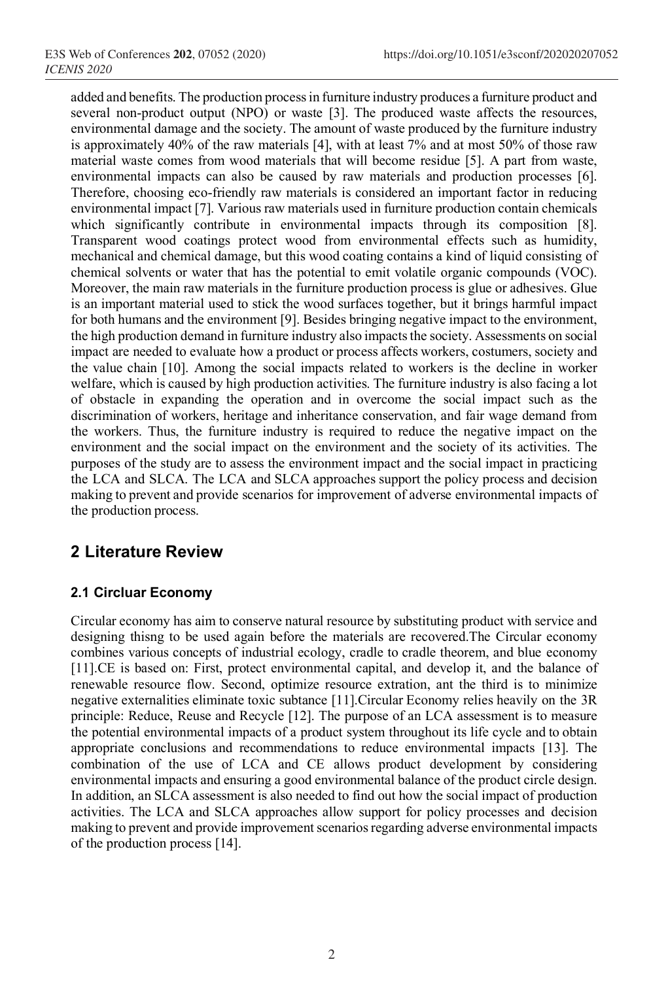added and benefits. The production processin furniture industry produces a furniture product and several non-product output (NPO) or waste [3]. The produced waste affects the resources, environmental damage and the society. The amount of waste produced by the furniture industry is approximately 40% of the raw materials [4], with at least 7% and at most 50% of those raw material waste comes from wood materials that will become residue [5]. A part from waste, environmental impacts can also be caused by raw materials and production processes [6]. Therefore, choosing eco-friendly raw materials is considered an important factor in reducing environmental impact [7]. Various raw materials used in furniture production contain chemicals which significantly contribute in environmental impacts through its composition [8]. Transparent wood coatings protect wood from environmental effects such as humidity, mechanical and chemical damage, but this wood coating contains a kind of liquid consisting of chemical solvents or water that has the potential to emit volatile organic compounds (VOC). Moreover, the main raw materials in the furniture production process is glue or adhesives. Glue is an important material used to stick the wood surfaces together, but it brings harmful impact for both humans and the environment [9]. Besides bringing negative impact to the environment, the high production demand in furniture industry also impacts the society. Assessments on social impact are needed to evaluate how a product or process affects workers, costumers, society and the value chain [10]. Among the social impacts related to workers is the decline in worker welfare, which is caused by high production activities. The furniture industry is also facing a lot of obstacle in expanding the operation and in overcome the social impact such as the discrimination of workers, heritage and inheritance conservation, and fair wage demand from the workers. Thus, the furniture industry is required to reduce the negative impact on the environment and the social impact on the environment and the society of its activities. The purposes of the study are to assess the environment impact and the social impact in practicing the LCA and SLCA. The LCA and SLCA approaches support the policy process and decision making to prevent and provide scenarios for improvement of adverse environmental impacts of the production process.

# **2 Literature Review**

## **2.1 Circluar Economy**

Circular economy has aim to conserve natural resource by substituting product with service and designing thisng to be used again before the materials are recovered.The Circular economy combines various concepts of industrial ecology, cradle to cradle theorem, and blue economy [11].CE is based on: First, protect environmental capital, and develop it, and the balance of renewable resource flow. Second, optimize resource extration, ant the third is to minimize negative externalities eliminate toxic subtance [11].Circular Economy relies heavily on the 3R principle: Reduce, Reuse and Recycle [12]. The purpose of an LCA assessment is to measure the potential environmental impacts of a product system throughout its life cycle and to obtain appropriate conclusions and recommendations to reduce environmental impacts [13]. The combination of the use of LCA and CE allows product development by considering environmental impacts and ensuring a good environmental balance of the product circle design. In addition, an SLCA assessment is also needed to find out how the social impact of production activities. The LCA and SLCA approaches allow support for policy processes and decision making to prevent and provide improvement scenarios regarding adverse environmental impacts of the production process [14].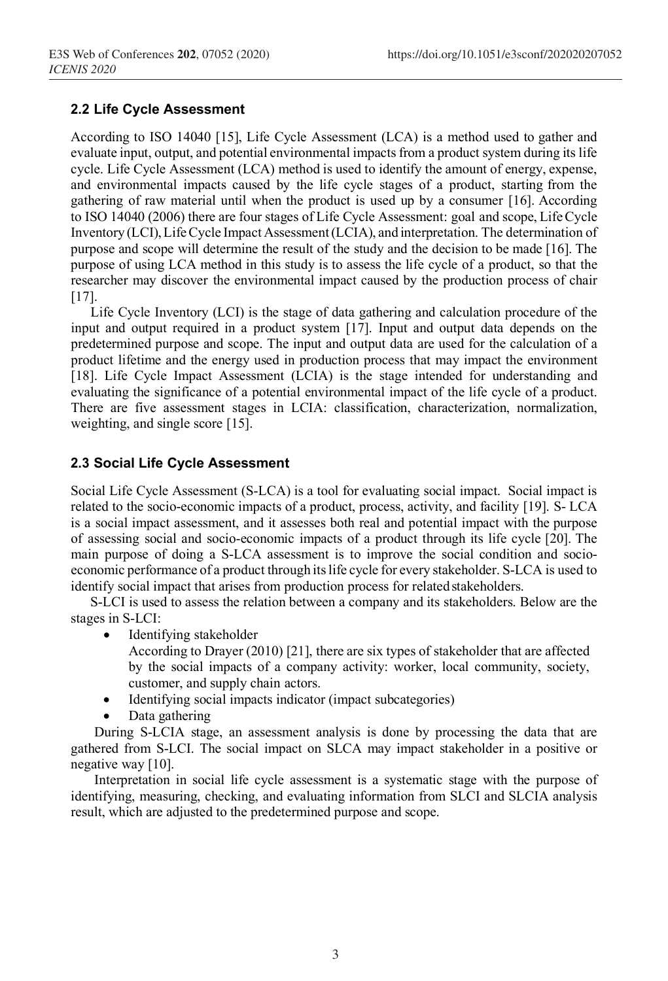#### **2.2 Life Cycle Assessment**

According to ISO 14040 [15], Life Cycle Assessment (LCA) is a method used to gather and evaluate input, output, and potential environmental impacts from a product system during its life cycle. Life Cycle Assessment (LCA) method is used to identify the amount of energy, expense, and environmental impacts caused by the life cycle stages of a product, starting from the gathering of raw material until when the product is used up by a consumer [16]. According to ISO 14040 (2006) there are four stages of Life Cycle Assessment: goal and scope, LifeCycle Inventory (LCI),LifeCycle Impact Assessment(LCIA), and interpretation. The determination of purpose and scope will determine the result of the study and the decision to be made [16]. The purpose of using LCA method in this study is to assess the life cycle of a product, so that the researcher may discover the environmental impact caused by the production process of chair [17].

Life Cycle Inventory (LCI) is the stage of data gathering and calculation procedure of the input and output required in a product system [17]. Input and output data depends on the predetermined purpose and scope. The input and output data are used for the calculation of a product lifetime and the energy used in production process that may impact the environment [18]. Life Cycle Impact Assessment (LCIA) is the stage intended for understanding and evaluating the significance of a potential environmental impact of the life cycle of a product. There are five assessment stages in LCIA: classification, characterization, normalization, weighting, and single score [15].

#### **2.3 Social Life Cycle Assessment**

Social Life Cycle Assessment (S-LCA) is a tool for evaluating social impact. Social impact is related to the socio-economic impacts of a product, process, activity, and facility [19]. S- LCA is a social impact assessment, and it assesses both real and potential impact with the purpose of assessing social and socio-economic impacts of a product through its life cycle [20]. The main purpose of doing a S-LCA assessment is to improve the social condition and socioeconomic performance of a product through itslife cycle for every stakeholder. S-LCA is used to identify social impact that arises from production process for related stakeholders.

S-LCI is used to assess the relation between a company and its stakeholders. Below are the stages in S-LCI:

Identifying stakeholder

According to Drayer (2010) [21], there are six types of stakeholder that are affected by the social impacts of a company activity: worker, local community, society, customer, and supply chain actors.

- Identifying social impacts indicator (impact subcategories)
- Data gathering

During S-LCIA stage, an assessment analysis is done by processing the data that are gathered from S-LCI. The social impact on SLCA may impact stakeholder in a positive or negative way [10].

Interpretation in social life cycle assessment is a systematic stage with the purpose of identifying, measuring, checking, and evaluating information from SLCI and SLCIA analysis result, which are adjusted to the predetermined purpose and scope.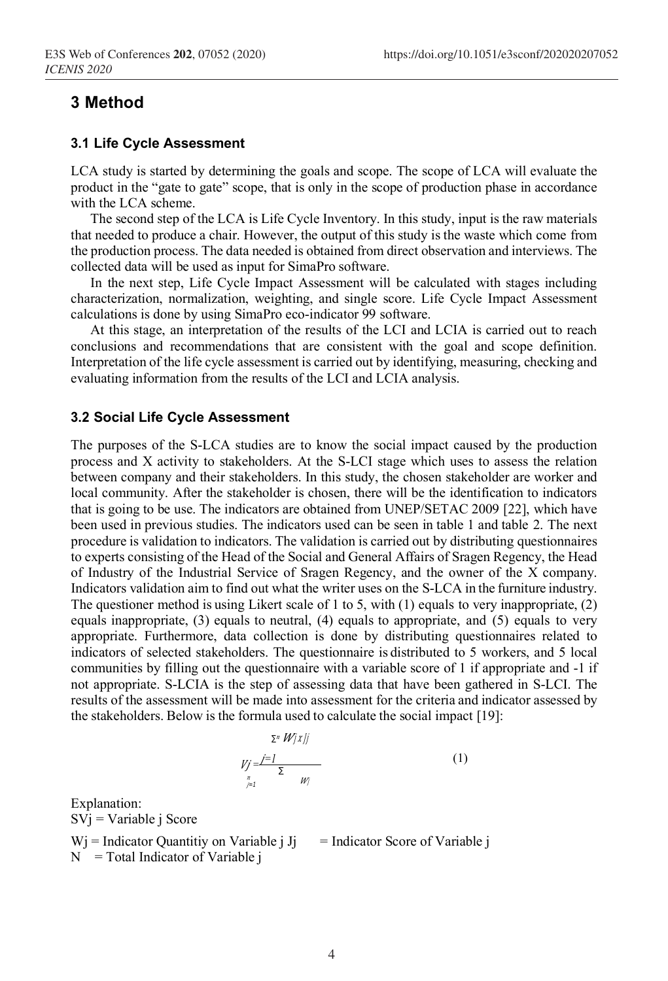# **3 Method**

#### **3.1 Life Cycle Assessment**

LCA study is started by determining the goals and scope. The scope of LCA will evaluate the product in the "gate to gate" scope, that is only in the scope of production phase in accordance with the LCA scheme.

The second step of the LCA is Life Cycle Inventory. In this study, input is the raw materials that needed to produce a chair. However, the output of this study is the waste which come from the production process. The data needed is obtained from direct observation and interviews. The collected data will be used as input for SimaPro software.

In the next step, Life Cycle Impact Assessment will be calculated with stages including characterization, normalization, weighting, and single score. Life Cycle Impact Assessment calculations is done by using SimaPro eco-indicator 99 software.

At this stage, an interpretation of the results of the LCI and LCIA is carried out to reach conclusions and recommendations that are consistent with the goal and scope definition. Interpretation of the life cycle assessment is carried out by identifying, measuring, checking and evaluating information from the results of the LCI and LCIA analysis.

#### **3.2 Social Life Cycle Assessment**

The purposes of the S-LCA studies are to know the social impact caused by the production process and X activity to stakeholders. At the S-LCI stage which uses to assess the relation between company and their stakeholders. In this study, the chosen stakeholder are worker and local community. After the stakeholder is chosen, there will be the identification to indicators that is going to be use. The indicators are obtained from UNEP/SETAC 2009 [22], which have been used in previous studies. The indicators used can be seen in table 1 and table 2. The next procedure is validation to indicators. The validation is carried out by distributing questionnaires to experts consisting of the Head of the Social and General Affairs of Sragen Regency, the Head of Industry of the Industrial Service of Sragen Regency, and the owner of the X company. Indicators validation aim to find out what the writer uses on the S-LCA in the furniture industry. The questioner method is using Likert scale of 1 to 5, with  $(1)$  equals to very inappropriate,  $(2)$ equals inappropriate, (3) equals to neutral, (4) equals to appropriate, and (5) equals to very appropriate. Furthermore, data collection is done by distributing questionnaires related to indicators of selected stakeholders. The questionnaire is distributed to 5 workers, and 5 local communities by filling out the questionnaire with a variable score of 1 if appropriate and -1 if not appropriate. S-LCIA is the step of assessing data that have been gathered in S-LCI. The results of the assessment will be made into assessment for the criteria and indicator assessed by the stakeholders. Below is the formula used to calculate the social impact [19]:

$$
\sum_{\substack{\lambda \vdash n \\ \lambda \vdash n}} \frac{\lambda^{\lambda} W(\lambda)}{\sum_{\substack{\lambda \vdash n \\ \lambda \vdash n}} \frac{\lambda^{\lambda}}{\lambda^{\lambda}}}
$$
 (1)

Explanation: SVj = Variable j Score  $Wj$  = Indicator Quantitiy on Variable j Jj = Indicator Score of Variable j  $N = Total Indicator of Variable j$ 

*<sup>∑</sup>*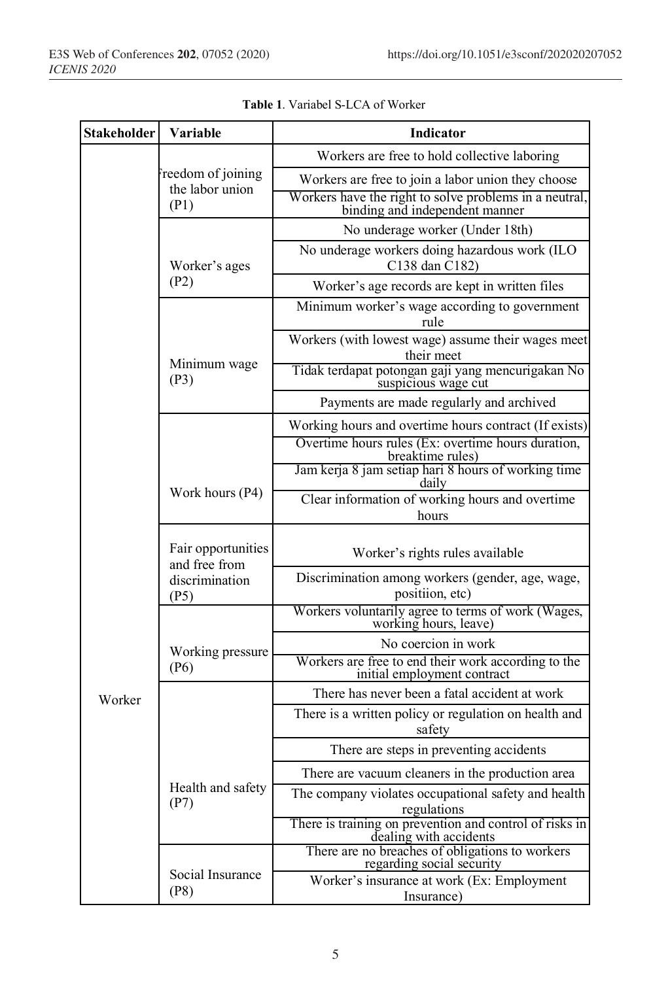| <b>Stakeholder</b> | Variable                                                      | Indicator                                                                                |  |
|--------------------|---------------------------------------------------------------|------------------------------------------------------------------------------------------|--|
|                    | reedom of joining<br>the labor union<br>(P1)                  | Workers are free to hold collective laboring                                             |  |
|                    |                                                               | Workers are free to join a labor union they choose                                       |  |
|                    |                                                               | Workers have the right to solve problems in a neutral,<br>binding and independent manner |  |
|                    | Worker's ages<br>(P2)                                         | No underage worker (Under 18th)                                                          |  |
|                    |                                                               | No underage workers doing hazardous work (ILO<br>C138 dan C182)                          |  |
|                    |                                                               | Worker's age records are kept in written files                                           |  |
|                    | Minimum wage<br>(P3)                                          | Minimum worker's wage according to government<br>rule                                    |  |
|                    |                                                               | Workers (with lowest wage) assume their wages meet<br>their meet                         |  |
|                    |                                                               | Tidak terdapat potongan gaji yang mencurigakan No<br>suspicious wage cut                 |  |
|                    |                                                               | Payments are made regularly and archived                                                 |  |
|                    | Work hours (P4)                                               | Working hours and overtime hours contract (If exists)                                    |  |
|                    |                                                               | Overtime hours rules (Ex: overtime hours duration,<br>breaktime rules)                   |  |
|                    |                                                               | Jam kerja 8 jam setiap hari 8 hours of working time<br>daily                             |  |
|                    |                                                               | Clear information of working hours and overtime<br>hours                                 |  |
|                    |                                                               |                                                                                          |  |
|                    | Fair opportunities<br>and free from<br>discrimination<br>(P5) | Worker's rights rules available                                                          |  |
|                    |                                                               | Discrimination among workers (gender, age, wage,<br>positiion, etc)                      |  |
|                    | Working pressure<br>(P6)                                      | Workers voluntarily agree to terms of work (Wages,<br>working hours, leave)              |  |
|                    |                                                               | No coercion in work                                                                      |  |
|                    |                                                               | Workers are free to end their work according to the<br>initial employment contract       |  |
| Worker             |                                                               | There has never been a fatal accident at work                                            |  |
|                    |                                                               | There is a written policy or regulation on health and<br>safety                          |  |
|                    | Health and safety<br>(P7)                                     | There are steps in preventing accidents                                                  |  |
|                    |                                                               | There are vacuum cleaners in the production area                                         |  |
|                    |                                                               | The company violates occupational safety and health<br>regulations                       |  |
|                    |                                                               | There is training on prevention and control of risks in<br>dealing with accidents        |  |
|                    | Social Insurance<br>(P8)                                      | There are no breaches of obligations to workers<br>regarding social security             |  |
|                    |                                                               | Worker's insurance at work (Ex: Employment                                               |  |
|                    |                                                               | Insurance)                                                                               |  |

**Table 1**. Variabel S-LCA of Worker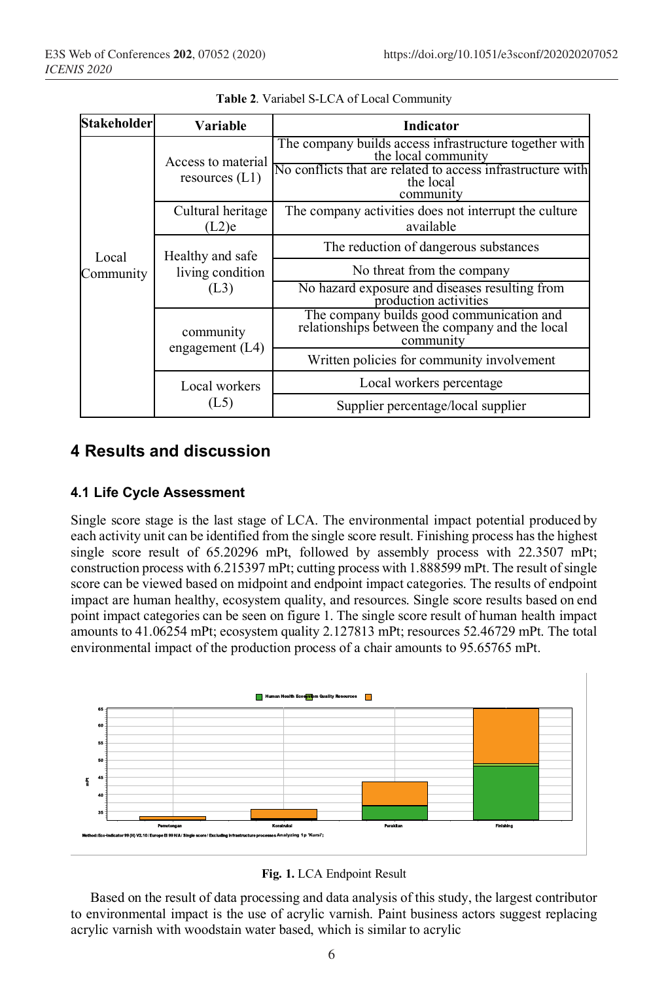| <b>Stakeholder</b> | Variable                                     | Indicator                                                                                                                                                              |  |
|--------------------|----------------------------------------------|------------------------------------------------------------------------------------------------------------------------------------------------------------------------|--|
| Local<br>Community | Access to material<br>resources $(L1)$       | The company builds access infrastructure together with<br>the local community<br>No conflicts that are related to access infrastructure with<br>the local<br>community |  |
|                    | Cultural heritage<br>(L2)e                   | The company activities does not interrupt the culture<br>available                                                                                                     |  |
|                    | Healthy and safe<br>living condition<br>(L3) | The reduction of dangerous substances                                                                                                                                  |  |
|                    |                                              | No threat from the company                                                                                                                                             |  |
|                    |                                              | No hazard exposure and diseases resulting from<br>production activities                                                                                                |  |
|                    | community<br>engagement $(L4)$               | The company builds good communication and<br>relationships between the company and the local<br>community                                                              |  |
|                    |                                              | Written policies for community involvement                                                                                                                             |  |
|                    | Local workers<br>(L5)                        | Local workers percentage                                                                                                                                               |  |
|                    |                                              | Supplier percentage/local supplier                                                                                                                                     |  |

**Table 2**. Variabel S-LCA of Local Community

# **4 Results and discussion**

#### **4.1 Life Cycle Assessment**

Single score stage is the last stage of LCA. The environmental impact potential produced by each activity unit can be identified from the single score result. Finishing process has the highest single score result of 65.20296 mPt, followed by assembly process with 22.3507 mPt; construction process with 6.215397 mPt; cutting process with 1.888599 mPt. The result of single score can be viewed based on midpoint and endpoint impact categories. The results of endpoint impact are human healthy, ecosystem quality, and resources. Single score results based on end point impact categories can be seen on figure 1. The single score result of human health impact amounts to 41.06254 mPt; ecosystem quality 2.127813 mPt; resources 52.46729 mPt. The total environmental impact of the production process of a chair amounts to 95.65765 mPt.



**Fig. 1.** LCA Endpoint Result

Based on the result of data processing and data analysis of this study, the largest contributor to environmental impact is the use of acrylic varnish. Paint business actors suggest replacing acrylic varnish with woodstain water based, which is similar to acrylic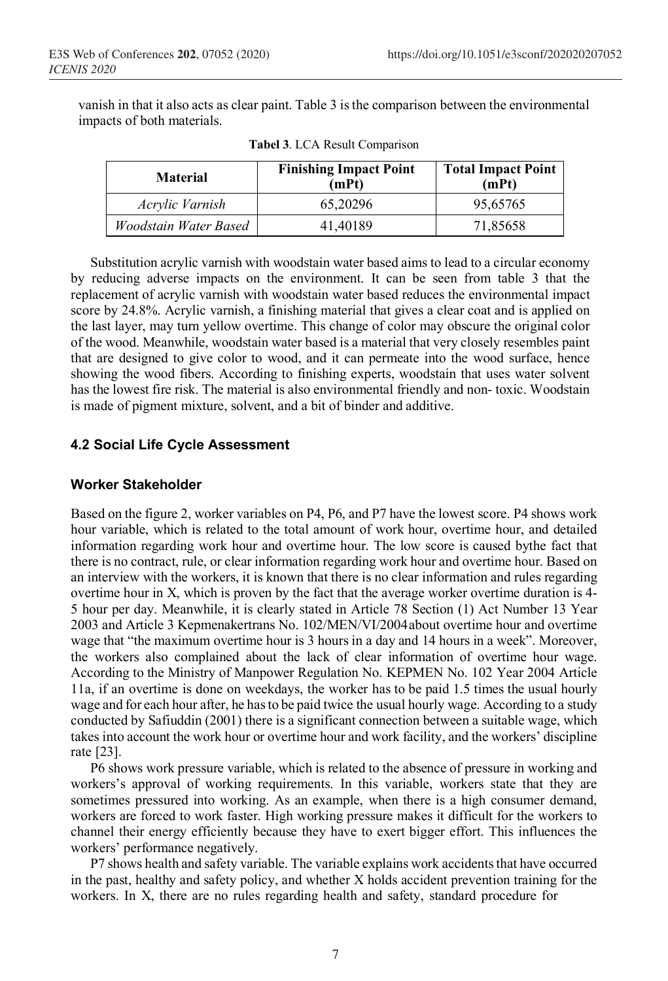vanish in that it also acts as clear paint. Table 3 isthe comparison between the environmental impacts of both materials.

| <b>Material</b>       | <b>Finishing Impact Point</b><br>(mPt) | <b>Total Impact Point</b><br>(mPt) |
|-----------------------|----------------------------------------|------------------------------------|
| Acrylic Varnish       | 65.20296                               | 95,65765                           |
| Woodstain Water Based | 41.40189                               | 71,85658                           |

**Tabel 3**. LCA Result Comparison

Substitution acrylic varnish with woodstain water based aims to lead to a circular economy by reducing adverse impacts on the environment. It can be seen from table 3 that the replacement of acrylic varnish with woodstain water based reduces the environmental impact score by 24.8%. Acrylic varnish, a finishing material that gives a clear coat and is applied on the last layer, may turn yellow overtime. This change of color may obscure the original color of the wood. Meanwhile, woodstain water based is a material that very closely resembles paint that are designed to give color to wood, and it can permeate into the wood surface, hence showing the wood fibers. According to finishing experts, woodstain that uses water solvent has the lowest fire risk. The material is also environmental friendly and non- toxic. Woodstain is made of pigment mixture, solvent, and a bit of binder and additive.

#### **4.2 Social Life Cycle Assessment**

#### **Worker Stakeholder**

Based on the figure 2, worker variables on P4, P6, and P7 have the lowest score. P4 shows work hour variable, which is related to the total amount of work hour, overtime hour, and detailed information regarding work hour and overtime hour. The low score is caused bythe fact that there is no contract, rule, or clear information regarding work hour and overtime hour. Based on an interview with the workers, it is known that there is no clear information and rules regarding overtime hour in X, which is proven by the fact that the average worker overtime duration is 4- 5 hour per day. Meanwhile, it is clearly stated in Article 78 Section (1) Act Number 13 Year 2003 and Article 3 Kepmenakertrans No. 102/MEN/VI/2004about overtime hour and overtime wage that "the maximum overtime hour is 3 hours in a day and 14 hours in a week". Moreover, the workers also complained about the lack of clear information of overtime hour wage. According to the Ministry of Manpower Regulation No. KEPMEN No. 102 Year 2004 Article 11a, if an overtime is done on weekdays, the worker has to be paid 1.5 times the usual hourly wage and for each hour after, he hasto be paid twice the usual hourly wage. According to a study conducted by Safiuddin (2001) there is a significant connection between a suitable wage, which takes into account the work hour or overtime hour and work facility, and the workers' discipline rate [23].

P6 shows work pressure variable, which is related to the absence of pressure in working and workers's approval of working requirements. In this variable, workers state that they are sometimes pressured into working. As an example, when there is a high consumer demand, workers are forced to work faster. High working pressure makes it difficult for the workers to channel their energy efficiently because they have to exert bigger effort. This influences the workers' performance negatively.

P7 shows health and safety variable. The variable explains work accidents that have occurred in the past, healthy and safety policy, and whether X holds accident prevention training for the workers. In X, there are no rules regarding health and safety, standard procedure for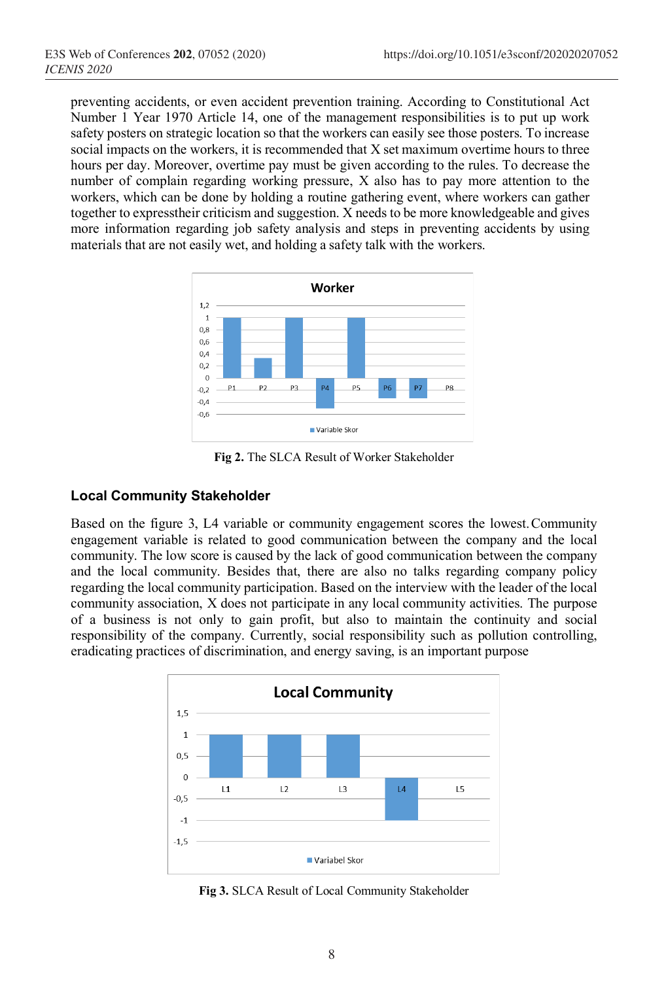preventing accidents, or even accident prevention training. According to Constitutional Act Number 1 Year 1970 Article 14, one of the management responsibilities is to put up work safety posters on strategic location so that the workers can easily see those posters. To increase social impacts on the workers, it is recommended that X set maximum overtime hours to three hours per day. Moreover, overtime pay must be given according to the rules. To decrease the number of complain regarding working pressure, X also has to pay more attention to the workers, which can be done by holding a routine gathering event, where workers can gather together to expresstheir criticism and suggestion. X needs to be more knowledgeable and gives more information regarding job safety analysis and steps in preventing accidents by using materials that are not easily wet, and holding a safety talk with the workers.



**Fig 2.** The SLCA Result of Worker Stakeholder

## **Local Community Stakeholder**

Based on the figure 3, L4 variable or community engagement scores the lowest.Community engagement variable is related to good communication between the company and the local community. The low score is caused by the lack of good communication between the company and the local community. Besides that, there are also no talks regarding company policy regarding the local community participation. Based on the interview with the leader of the local community association, X does not participate in any local community activities. The purpose of a business is not only to gain profit, but also to maintain the continuity and social responsibility of the company. Currently, social responsibility such as pollution controlling, eradicating practices of discrimination, and energy saving, is an important purpose



**Fig 3.** SLCA Result of Local Community Stakeholder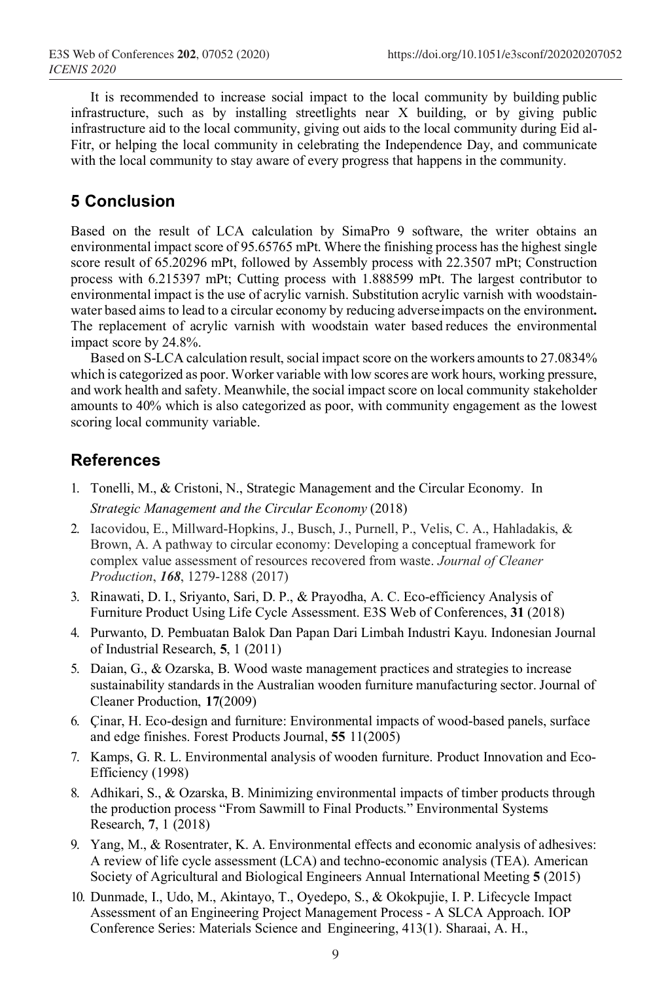It is recommended to increase social impact to the local community by building public infrastructure, such as by installing streetlights near X building, or by giving public infrastructure aid to the local community, giving out aids to the local community during Eid al-Fitr, or helping the local community in celebrating the Independence Day, and communicate with the local community to stay aware of every progress that happens in the community.

# **5 Conclusion**

Based on the result of LCA calculation by SimaPro 9 software, the writer obtains an environmental impact score of 95.65765 mPt. Where the finishing process has the highest single score result of 65.20296 mPt, followed by Assembly process with 22.3507 mPt; Construction process with 6.215397 mPt; Cutting process with 1.888599 mPt. The largest contributor to environmental impact is the use of acrylic varnish. Substitution acrylic varnish with woodstainwater based aims to lead to a circular economy by reducing adverseimpacts on the environment**.**  The replacement of acrylic varnish with woodstain water based reduces the environmental impact score by 24.8%.

Based on S-LCA calculation result, social impact score on the workers amounts to 27.0834% which is categorized as poor. Worker variable with low scores are work hours, working pressure, and work health and safety. Meanwhile, the social impact score on local community stakeholder amounts to 40% which is also categorized as poor, with community engagement as the lowest scoring local community variable.

# **References**

- 1. Tonelli, M., & Cristoni, N., Strategic Management and the Circular Economy. In *Strategic Management and the Circular Economy* (2018)
- 2. Iacovidou, E., Millward-Hopkins, J., Busch, J., Purnell, P., Velis, C. A., Hahladakis, & Brown, A. A pathway to circular economy: Developing a conceptual framework for complex value assessment of resources recovered from waste. *Journal of Cleaner Production*, *168*, 1279-1288 (2017)
- 3. Rinawati, D. I., Sriyanto, Sari, D. P., & Prayodha, A. C. Eco-efficiency Analysis of Furniture Product Using Life Cycle Assessment. E3S Web of Conferences, **31** (2018)
- 4. Purwanto, D. Pembuatan Balok Dan Papan Dari Limbah Industri Kayu. Indonesian Journal of Industrial Research, **5**, 1 (2011)
- 5. Daian, G., & Ozarska, B. Wood waste management practices and strategies to increase sustainability standards in the Australian wooden furniture manufacturing sector. Journal of Cleaner Production, **17**(2009)
- 6. Çinar, H. Eco-design and furniture: Environmental impacts of wood-based panels, surface and edge finishes. Forest Products Journal, **55** 11(2005)
- 7. Kamps, G. R. L. Environmental analysis of wooden furniture. Product Innovation and Eco-Efficiency (1998)
- 8. Adhikari, S., & Ozarska, B. Minimizing environmental impacts of timber products through the production process "From Sawmill to Final Products." Environmental Systems Research, **7**, 1 (2018)
- 9. Yang, M., & Rosentrater, K. A. Environmental effects and economic analysis of adhesives: A review of life cycle assessment (LCA) and techno-economic analysis (TEA). American Society of Agricultural and Biological Engineers Annual International Meeting **5** (2015)
- 10. Dunmade, I., Udo, M., Akintayo, T., Oyedepo, S., & Okokpujie, I. P. Lifecycle Impact Assessment of an Engineering Project Management Process - A SLCA Approach. IOP Conference Series: Materials Science and Engineering, 413(1). Sharaai, A. H.,